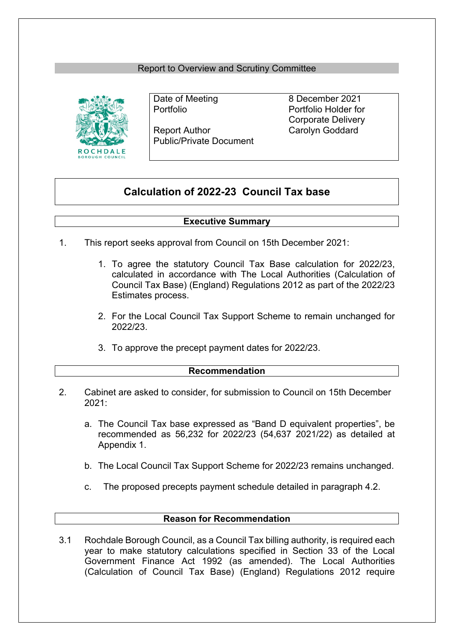## Report to Overview and Scrutiny Committee



Report Author Carolyn Goddard Public/Private Document

Date of Meeting 8 December 2021 Portfolio Portfolio Holder for Corporate Delivery

# **Calculation of 2022-23 Council Tax base**

### **Executive Summary**

- 1. This report seeks approval from Council on 15th December 2021:
	- 1. To agree the statutory Council Tax Base calculation for 2022/23, calculated in accordance with The Local Authorities (Calculation of Council Tax Base) (England) Regulations 2012 as part of the 2022/23 Estimates process.
	- 2. For the Local Council Tax Support Scheme to remain unchanged for 2022/23.
	- 3. To approve the precept payment dates for 2022/23.

### **Recommendation**

- 2. Cabinet are asked to consider, for submission to Council on 15th December 2021:
	- a. The Council Tax base expressed as "Band D equivalent properties", be recommended as 56,232 for 2022/23 (54,637 2021/22) as detailed at Appendix 1.
	- b. The Local Council Tax Support Scheme for 2022/23 remains unchanged.
	- c. The proposed precepts payment schedule detailed in paragraph 4.2.

### **Reason for Recommendation**

3.1 Rochdale Borough Council, as a Council Tax billing authority, is required each year to make statutory calculations specified in Section 33 of the Local Government Finance Act 1992 (as amended). The Local Authorities (Calculation of Council Tax Base) (England) Regulations 2012 require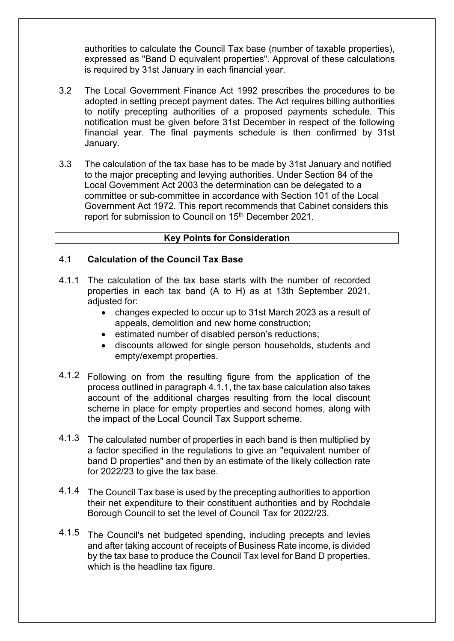authorities to calculate the Council Tax base (number of taxable properties), expressed as "Band D equivalent properties". Approval of these calculations is required by 31st January in each financial year.

- 3.2 The Local Government Finance Act 1992 prescribes the procedures to be adopted in setting precept payment dates. The Act requires billing authorities to notify precepting authorities of a proposed payments schedule. This notification must be given before 31st December in respect of the following financial year. The final payments schedule is then confirmed by 31st January.
- 3.3 The calculation of the tax base has to be made by 31st January and notified to the major precepting and levying authorities. Under Section 84 of the Local Government Act 2003 the determination can be delegated to a committee or sub-committee in accordance with Section 101 of the Local Government Act 1972. This report recommends that Cabinet considers this report for submission to Council on 15th December 2021.

## **Key Points for Consideration**

#### 4.1 **Calculation of the Council Tax Base**

- 4.1.1 The calculation of the tax base starts with the number of recorded properties in each tax band (A to H) as at 13th September 2021, adjusted for:
	- changes expected to occur up to 31st March 2023 as a result of appeals, demolition and new home construction;
	- estimated number of disabled person's reductions;
	- discounts allowed for single person households, students and empty/exempt properties.
- 4.1.2 Following on from the resulting figure from the application of the process outlined in paragraph 4.1.1, the tax base calculation also takes account of the additional charges resulting from the local discount scheme in place for empty properties and second homes, along with the impact of the Local Council Tax Support scheme.
- 4.1.3 The calculated number of properties in each band is then multiplied by a factor specified in the regulations to give an "equivalent number of band D properties" and then by an estimate of the likely collection rate for 2022/23 to give the tax base.
- 4.1.4 The Council Tax base is used by the precepting authorities to apportion their net expenditure to their constituent authorities and by Rochdale Borough Council to set the level of Council Tax for 2022/23.
- 4.1.5 The Council's net budgeted spending, including precepts and levies and after taking account of receipts of Business Rate income, is divided by the tax base to produce the Council Tax level for Band D properties, which is the headline tax figure.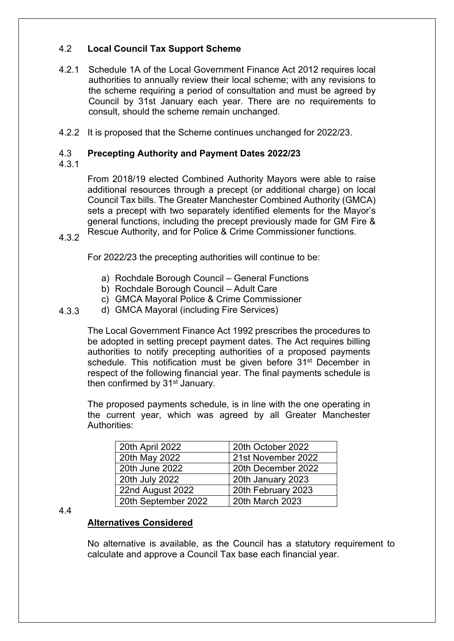#### 4.2 **Local Council Tax Support Scheme**

- 4.2.1 Schedule 1A of the Local Government Finance Act 2012 requires local authorities to annually review their local scheme; with any revisions to the scheme requiring a period of consultation and must be agreed by Council by 31st January each year. There are no requirements to consult, should the scheme remain unchanged.
- 4.2.2 It is proposed that the Scheme continues unchanged for 2022/23.

#### 4.3 **Precepting Authority and Payment Dates 2022/23**

4.3.1

From 2018/19 elected Combined Authority Mayors were able to raise additional resources through a precept (or additional charge) on local Council Tax bills. The Greater Manchester Combined Authority (GMCA) sets a precept with two separately identified elements for the Mayor's general functions, including the precept previously made for GM Fire & Rescue Authority, and for Police & Crime Commissioner functions.

4.3.2

For 2022/23 the precepting authorities will continue to be:

- a) Rochdale Borough Council General Functions
- b) Rochdale Borough Council Adult Care
- c) GMCA Mayoral Police & Crime Commissioner
- 4.3.3 d) GMCA Mayoral (including Fire Services)

The Local Government Finance Act 1992 prescribes the procedures to be adopted in setting precept payment dates. The Act requires billing authorities to notify precepting authorities of a proposed payments schedule. This notification must be given before 31<sup>st</sup> December in respect of the following financial year. The final payments schedule is then confirmed by 31<sup>st</sup> January.

The proposed payments schedule, is in line with the one operating in the current year, which was agreed by all Greater Manchester Authorities:

| 20th April 2022     | 20th October 2022  |
|---------------------|--------------------|
| 20th May 2022       | 21st November 2022 |
| 20th June 2022      | 20th December 2022 |
| 20th July 2022      | 20th January 2023  |
| 22nd August 2022    | 20th February 2023 |
| 20th September 2022 | 20th March 2023    |

### 4.4

## **Alternatives Considered**

No alternative is available, as the Council has a statutory requirement to calculate and approve a Council Tax base each financial year.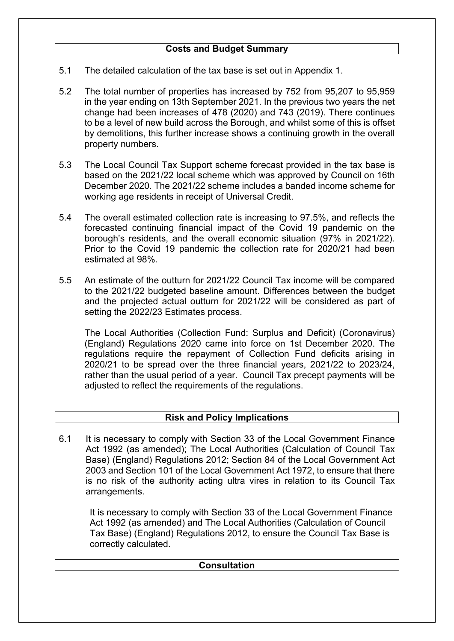- 5.1 The detailed calculation of the tax base is set out in Appendix 1.
- 5.2 The total number of properties has increased by 752 from 95,207 to 95,959 in the year ending on 13th September 2021. In the previous two years the net change had been increases of 478 (2020) and 743 (2019). There continues to be a level of new build across the Borough, and whilst some of this is offset by demolitions, this further increase shows a continuing growth in the overall property numbers.
- 5.3 The Local Council Tax Support scheme forecast provided in the tax base is based on the 2021/22 local scheme which was approved by Council on 16th December 2020. The 2021/22 scheme includes a banded income scheme for working age residents in receipt of Universal Credit.
- 5.4 The overall estimated collection rate is increasing to 97.5%, and reflects the forecasted continuing financial impact of the Covid 19 pandemic on the borough's residents, and the overall economic situation (97% in 2021/22). Prior to the Covid 19 pandemic the collection rate for 2020/21 had been estimated at 98%.
- 5.5 An estimate of the outturn for 2021/22 Council Tax income will be compared to the 2021/22 budgeted baseline amount. Differences between the budget and the projected actual outturn for 2021/22 will be considered as part of setting the 2022/23 Estimates process.

The Local Authorities (Collection Fund: Surplus and Deficit) (Coronavirus) (England) Regulations 2020 came into force on 1st December 2020. The regulations require the repayment of Collection Fund deficits arising in 2020/21 to be spread over the three financial years, 2021/22 to 2023/24, rather than the usual period of a year. Council Tax precept payments will be adjusted to reflect the requirements of the regulations.

# **Risk and Policy Implications**

It is necessary to comply with Section 33 of the Local Government Finance Act 1992 (as amended); The Local Authorities (Calculation of Council Tax Base) (England) Regulations 2012; Section 84 of the Local Government Act 2003 and Section 101 of the Local Government Act 1972, to ensure that there is no risk of the authority acting ultra vires in relation to its Council Tax arrangements. 6.1

It is necessary to comply with Section 33 of the Local Government Finance Act 1992 (as amended) and The Local Authorities (Calculation of Council Tax Base) (England) Regulations 2012, to ensure the Council Tax Base is correctly calculated.

| <b>Consultation</b> |  |  |  |  |
|---------------------|--|--|--|--|
|                     |  |  |  |  |
|                     |  |  |  |  |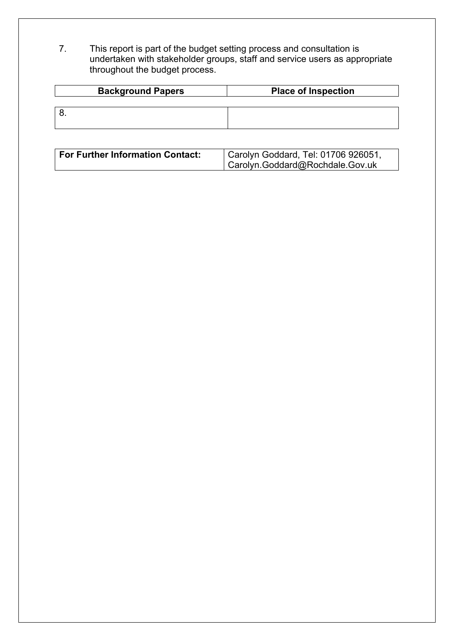7. This report is part of the budget setting process and consultation is undertaken with stakeholder groups, staff and service users as appropriate throughout the budget process.

| <b>Background Papers</b> | <b>Place of Inspection</b> |  |  |
|--------------------------|----------------------------|--|--|
|                          |                            |  |  |
|                          |                            |  |  |
|                          |                            |  |  |

| <b>For Further Information Contact:</b> | $\mid$ Carolyn Goddard, Tel: 01706 926051, |  |
|-----------------------------------------|--------------------------------------------|--|
|                                         | Carolyn.Goddard@Rochdale.Gov.uk            |  |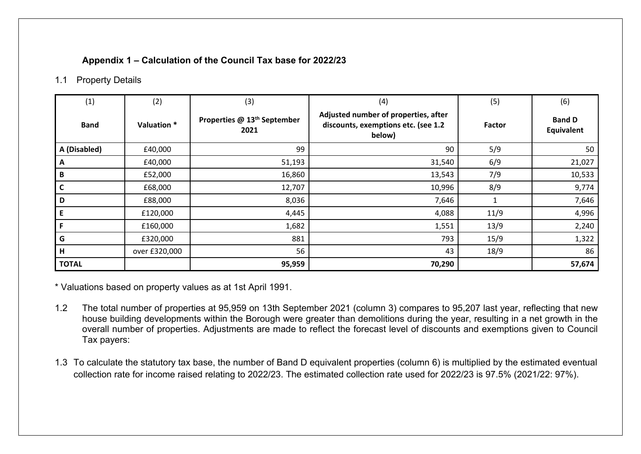# **Appendix 1 – Calculation of the Council Tax base for 2022/23**

## 1.1 Property Details

| (1)          | (2)           | (3)                                             | (4)                                                                                   | (5)    | (6)                                |
|--------------|---------------|-------------------------------------------------|---------------------------------------------------------------------------------------|--------|------------------------------------|
| <b>Band</b>  | Valuation *   | Properties @ 13 <sup>th</sup> September<br>2021 | Adjusted number of properties, after<br>discounts, exemptions etc. (see 1.2<br>below) | Factor | <b>Band D</b><br><b>Equivalent</b> |
| A (Disabled) | £40,000       | 99                                              | 90                                                                                    | 5/9    | 50                                 |
| A            | £40,000       | 51,193                                          | 31,540                                                                                | 6/9    | 21,027                             |
| B            | £52,000       | 16,860                                          | 13,543                                                                                | 7/9    | 10,533                             |
| C            | £68,000       | 12,707                                          | 10,996                                                                                | 8/9    | 9,774                              |
| D            | £88,000       | 8,036                                           | 7,646                                                                                 |        | 7,646                              |
| E            | £120,000      | 4,445                                           | 4,088                                                                                 | 11/9   | 4,996                              |
| F            | £160,000      | 1,682                                           | 1,551                                                                                 | 13/9   | 2,240                              |
| G            | £320,000      | 881                                             | 793                                                                                   | 15/9   | 1,322                              |
| H            | over £320,000 | 56                                              | 43                                                                                    | 18/9   | 86                                 |
| <b>TOTAL</b> |               | 95,959                                          | 70,290                                                                                |        | 57,674                             |

\* Valuations based on property values as at 1st April 1991.

- 1.2 The total number of properties at 95,959 on 13th September 2021 (column 3) compares to 95,207 last year, reflecting that new house building developments within the Borough were greater than demolitions during the year, resulting in a net growth in the overall number of properties. Adjustments are made to reflect the forecast level of discounts and exemptions given to Council Tax payers:
- 1.3 To calculate the statutory tax base, the number of Band D equivalent properties (column 6) is multiplied by the estimated eventual collection rate for income raised relating to 2022/23. The estimated collection rate used for 2022/23 is 97.5% (2021/22: 97%).